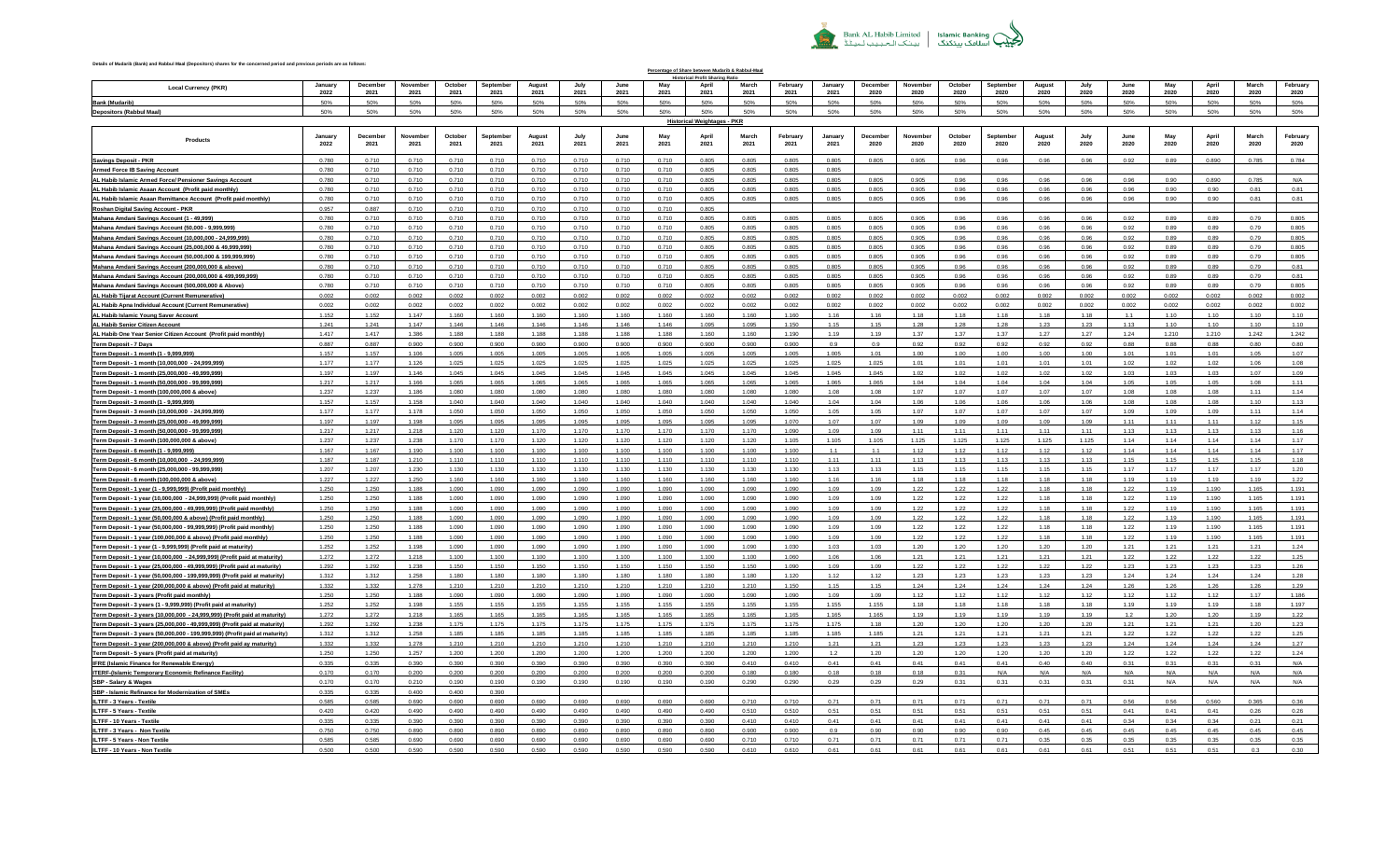

## **Details of Mudarib (Bank) and Rabbul Maal (Depositors) shares for the concerned period and previous periods are as follows:**

**Local Currency (PKR) January 2022 December 2021 Novembe 2021 October 2021 September 2021 August 2021 July 2021 June 2021 May 2021 April 2021 March 2021 February 2021 January 2021 December 2020 November 2020 October 2020 Septembe 2020 August 2020 July 2020 June 2020 May 2020 April 2020 March 2020 February 2020 Bank (Mudarib)** 50% 50% 50% 50% 50% 50% 50% 50% 50% 50% 50% 50% 50% 50% 50% 50% 50% 50% 50% 50% 50% 50% 50% 50% **Depositors (Rabbul Maal)** 50% 50% 50% 50% 50% 50% 50% 50% 50% 50% 50% 50% 50% 50% 50% 50% 50% 50% 50% 50% 50% 50% 50% 50% **Products January 2022 December 2021 November 2021 October 2021 September 2021 August 2021 July 2021 June 2021 May 2021 April 2021 March 2021 February 2021 January 2021 Decembe 2020 November 2020 Octobe 2020 September 2020 August 2020 July 2020 June 2020 May 2020 April 2020 March 2020 February 2020 Saving Account 0 - 999,999,999,999,998 Savings Deposit - PKR** 0.780 0.710 0.710 0.710 0.710 0.710 0.710 0.710 0.710 0.805 0.805 0.805 0.805 0.805 0.905 0.96 0.96 0.96 0.96 0.92 0.89 0.890 0.785 0.784 **ARMED FORCES -IB SAV 0 - 999,999,999,999,998 Armed Force IB Saving Account** 0.780 0.710 0.710 0.710 0.710 0.710 0.710 0.710 0.710 0.805 0.805 0.805 0.805 ALHabib Islamic Armed Force/Pensioner Savings Account | 0.780 | 0.710 | 0.710 | 0.710 | 0.710 | 0.710 | 0.710 | 0.710 | 0.710 | 0.710 | 0.710 | 0.710 | 0.710 | 0.710 | 0.710 | 0.710 | 0.710 | 0.710 | 0.710 | 0.710 | 0.710 AL Habib Islamic Asaan Account (Profit paid monthly) 0.780 0.710 0.710 0.710 0.710 0.710 0.710 0.710 0.710 0.710 0.710 0.710 0.710 0.710 0.710 0.710 0.710 0.710 0.710 0.710 0.710 0.710 0.710 |ALHabib Islamic Asaan Remittance Account (Profit paid monthly) | 0.780 | 0.710 | 0.710 | 0.710 | 0.710 | 0.710 | 0.710 | 0.710 | 0.81 | 0.81 | 0.81 | 0.81 | 0.81 | 0.81 | 0.81 | 0.81 | 0.81 | 0.81 | 0.81 | 0.81 | 0.81 | 0 **IB RDA SAVING PKR 0 - 999,999,999,999,998 Roshan Digital Saving Account - PKR** 0.957 0.887 0.710 0.710 0.710 0.710 0.710 0.710 0.710 0.805 Mahana AmdaniSavings Account (1-49,999) 0.780 │ 0.710 │ 0.710 │ 0.710 │ 0.710 │ 0.710 │ 0.710 │ 0.710 │ 0.710 │ 0.710 │ 0.710 │ 0.710 │ 0.710 │ 0.710 │ 0.710 │ 0.710 │ 0.710 │ 0.710 │ 0.710 │ 0.710 │ 0.710 │ 0. |Mahana Amdani Savings Account (50,000 -9,999,999) | 0.780 | 0.710 | 0.710 | 0.710 | 0.710 | 0.710 | 0.710 | 0.710 | 0.710 | 0.710 | 0.710 | 0.710 | 0.710 | 0.710 | 0.710 | 0.710 | 0.710 | 0.710 | 0.710 | 0.710 | 0.71 <mark>Mahana Amdani Savings Account (10,000,000 - 24,999,999) | 0.790 | 0.710 | 0.710 | 0.710 | 0.710 | 0.710 | 0.710 | 0.710 | 0.710 | 0.710 | 0.710 | 0.710 | 0.710 | 0.710 | 0.710 | 0.710 | 0.805 | 0.805 | 0.805 | 0.805 | 0</mark> Mahana Amdani Savings Account (25,000,000 & 49,999,999) | 0.780 | 0.710 | 0.710 | 0.710 | 0.710 | 0.710 | 0.710 | 0.710 | 0.710 | 0.710 | 0.710 | 0.710 | 0.710 | 0.710 | 0.710 | 0.710 | 0.710 | 0.710 | 0.710 | 0.710 | <mark>Mahana Amdani Savings Account (50.000.000 & 199.999.999) 0.780 0.710 0.710 0.710 0.710 0.710 0.710 0.710 0.710 0.710 0.710 0.710 0.710 0.710 0.710 0.710 0.710 0.710 0.710 0.710 0.710 0.710 0</mark> <mark>Mahana Amdani Savings Account (200,000,000 & above) 0.780 0.710 0.710 0.710 0.710 0.210 0.710 0.710 0.710 0.710 0.710 0.710 0.710 0.710 0.710 0.710 0.710 0.710 0.710 0.710 0.710 0.710 0.</mark> <mark>Mahana Amdani Savings Account (200,000,000 & 499,999,999) | 0.710 | 0.710 | 0.710 | 0.710 | 0.710 | 0.710 | 0.710 | 0.710 | 0.710 | 0.710 | 0.710 | 0.710 | 0.710 | 0.710 | 0.710 | 0.710 | 0.710 | 0.710 | 0.710 | 0.710 |</mark> Mahana Amdani Savings Account (500,000,000,8 Above) 0.780 0.710 0.710 0.710 0.710 0.710 0.710 0.710 0.710 0.710 0.710 0.710 0.710 0.710 0.710 0.710 0.710 0.710 0.710 0.710 0.710 0.7 10.002 | 0.002 | 0.002 | 0.002 | 0.002 | 0.002 | 0.002 | 0.002 | 0.002 | 0.002 | 0.002 | 0.002 | 0.002 | 0.002 | 0.002 | 0.002 | 0.002 | 0.002 | 0.002 | 0.002 | 0.002 | 0.002 | 0.002 | 0.002 | 0.002 | 0.002 | 0.002 | 0.002 **AH APNA INDVL AC-IBB 0 - 999,999,999,999,998 AL Habib Apna Individual Account (Current Remunerative)** 0.002 0.002 0.002 0.002 0.002 0.002 0.002 0.002 0.002 0.002 0.002 0.002 0.002 0.002 0.002 0.002 0.002 0.002 0.002 0.002 0.002 0.002 0.002 0.002 ALHabib Islamic Young Saver Account | 1.152 | 1.152 | 1.147 | 1.160 | 1.160 | 1.160 | 1.160 | 1.160 | 1.160 | 1.160 | 1.160 | 1.160 | 1.160 | 1.160 | 1.160 | 1.16 | 1.16 | 1.18 | 1.18 | 1.18 | 1.1 | 1.10 | 1.10 | 1.10 | 1. **Senior Citizen Islamic 0 - 999,999,999,999,998 AL Habib Senior Citizen Account**1.241 1.241 1.147 1.146 1.146 1.146 1.146 1.146 1.146 1.095 1.095 1.150 1.15 1.15 1.28 1.28 1.28 1.23 1.23 1.13 1.10 1.10 1.10 1.10 ALHabib One Year Senior Citizen Account (Profit paid monthly) | 1.417 | 1.417 | 1.386 | 1.188 | 1.188 | 1.188 | 1.188 | 1.188 | 1.188 | 1.188 | 1.188 | 1.188 | 1.188 | 1.188 | 1.188 | 1.189 | 1.199 | 1.199 | 1.199 | 1.199 **NOTICE 7 DAYS PKR 0 - 999,999,999,999,998 Term Deposit - 7 Days** 0.887 0.887 0.900 0.900 0.900 0.900 0.900 0.900 0.900 0.900 0.900 0.900 0.9 0.9 0.92 0.92 0.92 0.92 0.92 0.88 0.88 0.88 0.80 0.80 **Term Deposit 1 Month 0 - 9,999,998 Term Deposit - 1 month (1 - 9,999,999)** 1.157 1.157 1.106 1.005 1.005 1.005 1.005 1.005 1.005 1.005 1.005 1.005 1.005 1.01 1.00 1.00 1.00 1.00 1.00 1.01 1.01 1.01 1.05 1.07 . Term Deposit-1 month (10,000,000 -24,999,999) 1.177 1.126 1.025 1.025 1.025 1.025 1.025 1.025 1.025 1.025 1.025 1.025 1.025 1.025 1.025 1.025 1.025 1.025 1.025 1.025 **Term Deposit 1 Month 24999999 - 49,999,998 Term Deposit - 1 month (25,000,000 - 49,999,999)** 1.197 1.197 1.146 1.045 1.045 1.045 1.045 1.045 1.045 1.045 1.045 1.045 1.045 1.045 1.02 1.02 1.02 1.02 1.02 1.03 1.03 1.03 1.07 1.09 .1.11 [Term Deposit -1 month (50,000,000 -99,999,999) 1.217 | 1.217 | 1.166 | 1.065 | 1.065 | 1.065 | 1.065 | 1.065 | 1.065 | 1.065 | 1.065 | 1.065 | 1.065 | 1.065 | 1.065 | 1.06 | 1.06 | Perm Deposit-1 month (100,000,000 & above) | 1.237 | 1.237 | 1.080 | 1.080 | 1.080 | 1.080 | 1.080 | 1.080 | 1.080 | 1.080 | 1.080 | 1.08 | 1.08 | 1.08 | 1.07 | 1.07 | 1.08 | 1.08 | 1.11 | 1.11 | **Term Deposit 3 Month 0 - 9,999,997 Term Deposit - 3 month (1 - 9,999,999)** 1.157 1.157 1.158 1.040 1.040 1.040 1.040 1.040 1.040 1.040 1.040 1.040 1.04 1.04 1.06 1.06 1.06 1.06 1.06 1.08 1.08 1.08 1.10 1.13 [Term Deposit-3 month (10,000,000 -24,999,999) 1.177 1.178 1.050 1.050 1.050 1.050 1.050 1.050 1.050 1.050 1.050 1.050 1.050 1.050 1.050 1.050 1.050 1.050 1.050 1.050 **Term Deposit 3 Month 24999999 - 49,999,998 Term Deposit - 3 month (25,000,000 - 49,999,999)** 1.197 1.197 1.198 1.095 1.095 1.095 1.095 1.095 1.095 1.095 1.095 1.070 1.07 1.07 1.09 1.09 1.09 1.09 1.09 1.11 1.11 1.11 1.12 1.15 |TermDeposit-3 month (50,000,000-99,999,999) | | 1.217 | 1.217 | 1.218 | 1.120 | 1.120 | 1.170 | 1.170 | 1.170 | 1.170 | 1.170 | 1.170 | 1.170 | 1.170 | 1.170 | 1.10 | 1.09 | 1.09 | 1.11 | 1.11 | 1.11 | 1.11 | 1.13 | 1.13 Term Deposit-3 month (100,000,000 & above) 1.237 1.237 1.238 1.170 1.170 1.120 1.120 1.120 1.120 1.120 1.120 1.105 1.105 1.125 1.125 1.125 1.14 1.14 1.14 1.17 1.17 1. **Term Deposit 6 Month 0 - 9,999,998 Term Deposit - 6 month (1 - 9,999,999)** 1.167 1.167 1.190 1.100 1.100 1.100 1.100 1.100 1.100 1.100 1.100 1.100 1.1 1.1 1.12 1.12 1.12 1.12 1.12 1.14 1.14 1.14 1.14 1.17 Perm Deposit 6 month (10,000,000 - 24,999,999) | 1.187 | 1.187 | 1.10 | 1.110 | 1.110 | 1.110 | 1.110 | 1.110 | 1.110 | 1.110 | 1.110 | 1.110 | 1.110 | 1.110 | 1.110 | 1.110 | 1.110 | 1.110 | 1.110 | 1.110 | 1.110 | |Term Deposit-6 month (25,000,000-99,999,999) | 1.207 | 1.207 | 1.30 | 1.130 | 1.130 | 1.130 | 1.130 | 1.130 | 1.130 | 1.130 | 1.130 | 1.130 | 1.130 | 1.130 | 1.130 | 1.130 | 1.130 | 1.130 | 1.130 | 1.130 | 1.130 | 1.130 | Term Deposit-6 month (100,000,000 & above) 1.227 1.227 1.250 1.160 1.160 1.160 1.160 1.160 1.160 1.160 1.160 1.160 1.160 1.160 1.160 1.160 1.160 1.160 1.160 1.160 1.160 1 **Term Deposit 1 Year Monthly 0 - 999,999,999,999,998 Term Deposit - 1 year (1 - 9,999,999) (Profit paid monthly)** 1.250 1.250 1.188 1.090 1.090 1.090 1.090 1.090 1.090 1.090 1.090 1.090 1.09 1.09 1.22 1.22 1.22 1.18 1.18 1.22 1.19 1.190 1.165 1.191 **Term Deposit 1 Year Monthly 0 - 999,999,999,999,998 Term Deposit - 1 year (10,000,000 - 24,999,999) (Profit paid monthly)** 1.250 1.250 1.188 1.090 1.090 1.090 1.090 1.090 1.090 1.090 1.090 1.090 1.09 1.09 1.22 1.22 1.22 1.18 1.18 1.22 1.19 1.190 1.165 1.191 |Term Deposit-1 year (25,000,000 -49,999,999) (Profit paid monthly) | 1.250 | 1.361 | 1.080 | 1.090 | 1.090 | 1.090 | 1.090 | 1.090 | 1.090 | 1.090 | 1.090 | 1.090 | 1.090 | 1.090 | 1.090 | 1.090 | 1.090 | 1.090 | 1.090 | **Term Deposit 1 Year Monthly 0 - 999,999,999,999,998 Term Deposit - 1 year (50,000,000 & above) (Profit paid monthly)** 1.250 1.250 1.188 1.090 1.090 1.090 1.090 1.090 1.090 1.090 1.090 1.090 1.09 1.09 1.22 1.22 1.22 1.18 1.18 1.22 1.19 1.190 1.165 1.191 1 Term Deposit-1 vear (50.000.000 -99.999.9999) (Profit paid monthly) | 1.250 | 1.350 | 1.080 | 1.090 | 1.090 | 1.090 | 1.090 | 1.090 | 1.090 | 1.090 | 1.090 | 1.090 | 1.090 | 1.090 | 1.090 | 1.090 | 1.090 | 1.090 | 1.090 Term Deposit-1year (100,000,000,000 & above) (Profit paid monthly) | 1.250 | 1.260 | 1.188 | 1.090 | 1.090 | 1.090 | 1.090 | 1.090 | 1.090 | 1.090 | 1.090 | 1.090 | 1.090 | 1.090 | 1.090 | 1.090 | 1.090 | 1.090 | 1.090 | 1 Term Deposit -1 year (1 -9,999,999) (Profit paid at maturity) | 1.252 | 1.252 | 1.198 | 1.090 | 1.090 | 1.090 | 1.090 | 1.090 | 1.090 | 1.090 | 1.090 | 1.090 | 1.090 | 1.090 | 1.090 | 1.090 | 1.090 | 1.090 | 1.090 | 1.090 |Term Deposit-1year (10,000,000 -24,999,999) (Profit paid at maturity) | 1.272 | 1.273 | 1.218 | 1.100 | 1.100 | 1.100 | 1.100 | 1.100 | 1.100 | 1.100 | 1.100 | 1.00 | 1.00 | 1.00 | 1.00 | 1.00 | 1.00 | 1.00 | 1.00 | 1.00 **Term Deposit 1 Year 24999999 - 49,999,998 Term Deposit - 1 year (25,000,000 - 49,999,999) (Profit paid at maturity)** 1.292 1.292 1.238 1.150 1.150 1.150 1.150 1.150 1.150 1.150 1.150 1.090 1.09 1.09 1.22 1.22 1.22 1.22 1.22 1.23 1.23 1.23 1.23 1.26 **Term Deposit 1 Year 49999999 - 199,999,998 Term Deposit - 1 year (50,000,000 - 199,999,999) (Profit paid at maturity)** 1.312 1.312 1.258 1.180 1.180 1.180 1.180 1.180 1.180 1.180 1.180 1.120 1.12 1.12 1.23 1.23 1.23 1.23 1.23 1.24 1.24 1.24 1.24 1.28 Term Deposit -1 year (200,000,000,000 & above) (Profit paid at maturity) | 1.332 | 1.328 | 1.278 | 1.210 | 1.210 | 1.210 | 1.210 | 1.210 | 1.210 | 1.210 | 1.210 | 1.210 | 1.15 | 1.15 | 1.24 | 1.24 | 1.24 | 1.24 | 1.25 | 1. . Term Deposit-3 years (Profit paid monthly) 1.250 1.250 1.388 1.090 1.090 1.090 1.090 1.090 1.090 1.090 1.090 1.090 1.090 1.090 1.090 1.090 1.090 1.090 1.090 1.090 1.090 Term Deposit -3 years (1 -9,999,999) (Profit paid at maturity) | 1.252 | 1.252 | 1.198 | 1.155 | 1.155 | 1.155 | 1.155 | 1.155 | 1.155 | 1.155 | 1.155 | 1.155 | 1.155 | 1.155 | 1.155 | 1.155 | 1.155 | 1.155 | 1.155 | 1.155 Term Deposit - 3 years (10.000.000 - 24.999.999) (Profit paid at maturity) | 1.272 | 1.278 | 1.165 | 1.165 | 1.165 | 1.165 | 1.165 | 1.165 | 1.165 | 1.165 | 1.165 | 1.165 | 1.165 | 1.165 | 1.165 | 1.165 | 1.165 | 1.165 | 1 |Term Denosit -3 vears (25.000.000 -49.999.999)|Profit paid at maturity) | 1.292 | 1.293 | 1.293 | 1.25 | 1.175 | 1.175 | 1.175 | 1.175 | 1.175 | 1.175 | 1.175 | 1.175 | 1.175 | 1.175 | 1.175 | 1.175 | 1.175 | 1.175 | 1.17 .<br>1910 Term Deposit - 3 years (50.000,000 - 199,999,999, (Profit paid at maturity) 1.312 1.312 1.312 1.258 1.185 1.185 1.185 1.185 1.185 1.185 1.185 1.185 1.185 1.185 1.185 1.185 1.185 1.185 1.185 1.185 1.185 1.185 1.185 1 |Term Deposit -3 year (200,000,000,000 & above) (Profit paid ay maturity) | 1.332 | 1.328 | 1.278 | 1.210 | 1.210 | 1.210 | 1.210 | 1.210 | 1.210 | 1.210 | 1.210 | 1.210 | 1.210 | 1.210 | 1.210 | 1.210 | 1.210 | 1.210 | 1. Term Deposit - 5 years (Profit paid at maturity) | 1.250 | 1.250 | 1.250 | 1.260 | 1.200 | 1.200 | 1.200 | 1.200 | 1.200 | 1.200 | 1.200 | 1.200 | 1.200 | 1.200 | 1.200 | 1.200 | 1.200 | 1.200 | 1.200 | 1.200 | 1.200 | 1.2 <u>|FRE (Islamic Finance for Renewable Energy)</u> | 0.335 | 0.335 | 0.336 | 0.339 | 0.339 | 0.390 | 0.390 | 0.390 | 0.390 | 0.390 | 0.390 | 0.390 | 0.390 | 0.390 | 0.390 | 0.390 | 0.390 | 0.390 | 0.390 | 0.390 | 0.390 | 0.41 | **BORROWING FROM SBP-ITERF 0 - 999,999,999,999,998 ITERF-(Islamic Temporary Economic Refinance Facility)** 0.170 0.170 0.200 0.200 0.200 0.200 0.200 0.200 0.200 0.200 0.180 0.180 0.18 0.18 0.18 0.31 N/A N/A N/A N/A N/A N/A N/A N/A **BORROWNG SBP-IRF WAGE & SAL NF 0 - 999,999,999,999,998 SBP - Salary & Wages** 0.170 0.170 0.210 0.190 0.190 0.190 0.190 0.190 0.190 0.190 0.290 0.290 0.29 0.29 0.29 0.31 0.31 0.31 0.31 0.31 N/A N/A N/A N/A **SBP - Islamic Refinance for Modernization of SMEs** 0.335 0.335 0.400 0.400 0.336 0.400 0.390 **BORROWNG FRM SBP-ILTFF 3 YRS-T 0 -999,999,999,999,998 ILTFF - 3 Years - Textile** 0.585 0.585 0.690 0.690 0.690 0.690 0.690 0.690 0.690 0.690 0.710 0.710 0.71 0.71 0.71 0.71 0.71 0.71 0.71 0.56 0.56 0.560 0.365 0.36 **BORROWNG FRM SBP-ILTFF 5 YRS-T 0 - 999,999,999,999,998 ILTFF - 5 Years - Textile** 0.420 0.420 0.490 0.490 0.490 0.490 0.490 0.490 0.490 0.490 0.510 0.510 0.51 0.51 0.51 0.51 0.51 0.51 0.51 0.41 0.41 0.41 0.26 0.26 10.31 10.41 10.41 10.41 10.41 10.41 10.41 10.41 10.41 10.41 10.41 10.41 10.41 10.41 10.41 10.41 10.41 10.41 10.41 10.41 10.41 10.41 10.41 10.41 10.41 10.41 10.41 10.41 10.41 10.41 10.41 10.41 10.41 10.41 10.41 10.41 10.41 **BORROWNG FRM SBP-ILTFF 3 YRS-0 - 999,999,999,999,998 ILTFF - 3 Years - Non Textile** 0.750 0.750 0.890 0.890 0.890 0.890 0.890 0.890 0.890 0.890 0.900 0.900 0.9 0.90 0.90 0.90 0.90 0.45 0.45 0.45 0.45 0.45 0.45 0.45 **BORROWING FROM SBP ILTFF - 5 YRS 0 - 999,999,999,999,998 ILTFF - 5 Years - Non Textile** 0.585 0.585 0.690 0.690 0.690 0.690 0.690 0.690 0.690 0.690 0.710 0.710 0.71 0.71 0.71 0.71 0.71 0.35 0.35 0.35 0.35 0.35 0.35 0.35 Percentage of Share between Mudarib & Rabbul-Maa **Historical Profit Sharing Ratio Historical Weightages - PKR**

**BORROW FROM SBP ILTFF - 10 YRS 0 - 999,999,999,999,998 ILTFF - 10 Years - Non Textile** 0.500 0.500 0.590 0.590 0.590 0.590 0.590 0.590 0.590 0.590 0.610 0.610 0.61 0.61 0.61 0.61 0.61 0.61 0.61 0.51 0.51 0.51 0.3 0.30